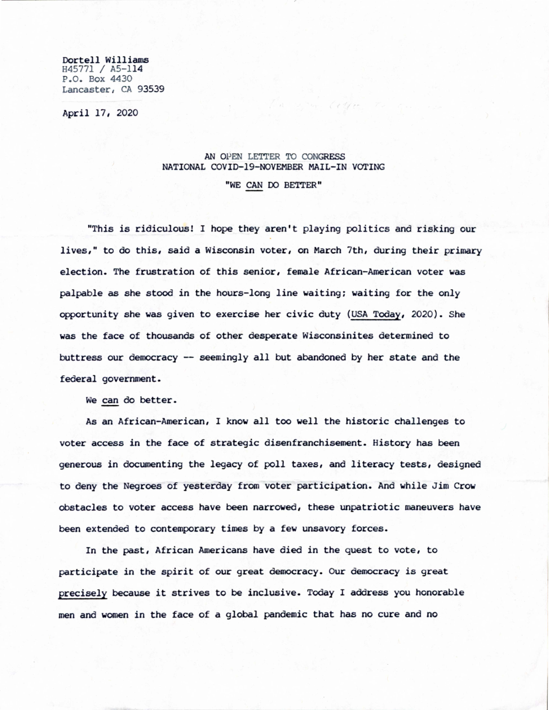Dortell Williams H45771 / A5-114 P.O. Box 4430 Lancaster, CA 93539

April 17, 2020

## AN OPEN LETTER TO CONGRESS NATIONAL COVID-19-NOVEMBER MAIL-IN VOTING

"WE CAN DO BETTER"

"This is ridiculous! I hope they aren't playing politics and risking our lives," to do this, said a Wisconsin voter, on March 7th, during their primary election. The frustration of this senior, female African-American voter was palpable as she stood in the hours-long line waiting; waiting for the only opportunity she was given to exercise her civic duty (USA Today, 2020). She was the face of thousands of other desperate Wisconsinites determined to buttress our democracy -- seemingly all but abandoned by her state and the federal government.

We can do better.

As an African-American, I know all too well the historic challenges to voter access in the face of strategic disenfranchisement. History has been generous in documenting the legacy of poll taxes, and literacy tests, designed to deny the Negroes of yesterday from voter participation. And while Jim Crow obstacles to voter access have been narrowed, these unpatriotic maneuvers have been extended to contemporary times by a few unsavory forces.

In the past, African Americans have died in the quest to vote, to participate in the spirit of our great democracy. Our democracy is great precisely because it strives to be inclusive. Today I address you honorable men and women in the face of a global pandemic that has no cure and no